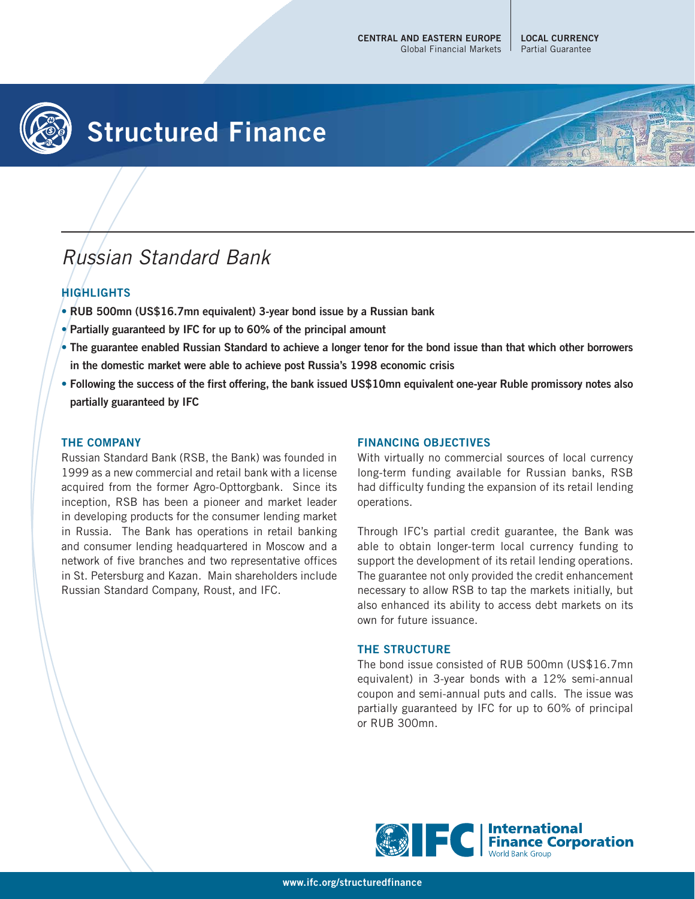# **Structured Finance**

## Russian Standard Bank

### **HIGHLIGHTS**

- **RUB 500mn (US\$16.7mn equivalent) 3-year bond issue by a Russian bank**
- **Partially guaranteed by IFC for up to 60% of the principal amount**
- **The guarantee enabled Russian Standard to achieve a longer tenor for the bond issue than that which other borrowers in the domestic market were able to achieve post Russia's 1998 economic crisis**
- **Following the success of the first offering, the bank issued US\$10mn equivalent one-year Ruble promissory notes also partially guaranteed by IFC**

#### **THE COMPANY**

Russian Standard Bank (RSB, the Bank) was founded in 1999 as a new commercial and retail bank with a license acquired from the former Agro-Opttorgbank. Since its inception, RSB has been a pioneer and market leader in developing products for the consumer lending market in Russia. The Bank has operations in retail banking and consumer lending headquartered in Moscow and a network of five branches and two representative offices in St. Petersburg and Kazan. Main shareholders include Russian Standard Company, Roust, and IFC.

#### **FINANCING OBJECTIVES**

With virtually no commercial sources of local currency long-term funding available for Russian banks, RSB had difficulty funding the expansion of its retail lending operations.

Through IFC's partial credit guarantee, the Bank was able to obtain longer-term local currency funding to support the development of its retail lending operations. The guarantee not only provided the credit enhancement necessary to allow RSB to tap the markets initially, but also enhanced its ability to access debt markets on its own for future issuance.

#### **THE STRUCTURE**

The bond issue consisted of RUB 500mn (US\$16.7mn equivalent) in 3-year bonds with a 12% semi-annual coupon and semi-annual puts and calls. The issue was partially guaranteed by IFC for up to 60% of principal or RUB 300mn.